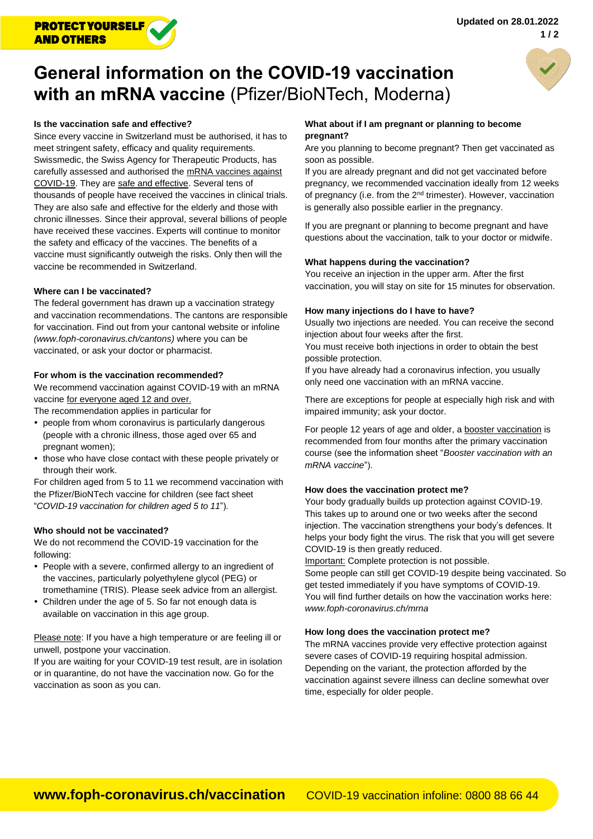

# **General information on the COVID-19 vaccination with an mRNA vaccine** (Pfizer/BioNTech, Moderna)



Since every vaccine in Switzerland must be authorised, it has to meet stringent safety, efficacy and quality requirements. Swissmedic, the Swiss Agency for Therapeutic Products, has carefully assessed and authorised the mRNA vaccines against COVID-19. They are safe and effective. Several tens of thousands of people have received the vaccines in clinical trials. They are also safe and effective for the elderly and those with chronic illnesses. Since their approval, several billions of people have received these vaccines. Experts will continue to monitor the safety and efficacy of the vaccines. The benefits of a vaccine must significantly outweigh the risks. Only then will the vaccine be recommended in Switzerland.

## **Where can I be vaccinated?**

The federal government has drawn up a vaccination strategy and vaccination recommendations. The cantons are responsible for vaccination. Find out from your cantonal website or infoline *[\(www.foph-coronavirus.ch/cantons\)](http://www.foph-coronavirus.ch/cantons)* where you can be vaccinated, or ask your doctor or pharmacist.

## **For whom is the vaccination recommended?**

We recommend vaccination against COVID-19 with an mRNA vaccine for everyone aged 12 and over.

The recommendation applies in particular for

- people from whom coronavirus is particularly dangerous (people with a chronic illness, those aged over 65 and pregnant women);
- those who have close contact with these people privately or through their work.

For children aged from 5 to 11 we recommend vaccination with the Pfizer/BioNTech vaccine for children (see fact sheet "*[COVID-19 vaccination for children aged 5 to 11](https://www.bag.admin.ch/dam/bag/en/dokumente/mt/k-und-i/aktuelle-ausbrueche-pandemien/2019-nCoV/merkblatt-impfung-kinder.pdf.download.pdf/merkblatt-impfung-kinder.pdf)*").

#### **Who should not be vaccinated?**

We do not recommend the COVID-19 vaccination for the following:

- People with a severe, confirmed allergy to an ingredient of the vaccines, particularly polyethylene glycol (PEG) or tromethamine (TRIS). Please seek advice from an allergist.
- Children under the age of 5. So far not enough data is available on vaccination in this age group.

Please note: If you have a high temperature or are feeling ill or unwell, postpone your vaccination.

If you are waiting for your COVID-19 test result, are in isolation or in quarantine, do not have the vaccination now. Go for the vaccination as soon as you can.

## **What about if I am pregnant or planning to become pregnant?**

Are you planning to become pregnant? Then get vaccinated as soon as possible.

If you are already pregnant and did not get vaccinated before pregnancy, we recommended vaccination ideally from 12 weeks of pregnancy (i.e. from the 2<sup>nd</sup> trimester). However, vaccination is generally also possible earlier in the pregnancy.

If you are pregnant or planning to become pregnant and have questions about the vaccination, talk to your doctor or midwife.

### **What happens during the vaccination?**

You receive an injection in the upper arm. After the first vaccination, you will stay on site for 15 minutes for observation.

#### **How many injections do I have to have?**

Usually two injections are needed. You can receive the second injection about four weeks after the first.

You must receive both injections in order to obtain the best possible protection.

If you have already had a coronavirus infection, you usually only need one vaccination with an mRNA vaccine.

There are exceptions for people at especially high risk and with impaired immunity; ask your doctor.

For people 12 years of age and older, a booster vaccination is recommended from four months after the primary vaccination course (see the information sheet "*[Booster vaccination with an](https://www.bag.admin.ch/dam/bag/en/dokumente/mt/k-und-i/aktuelle-ausbrueche-pandemien/2019-nCoV/merkblatt-auffrischimpfungen-mrna.pdf.download.pdf/211109_EN_Merkblatt_Auffrischimpfungen.pdf)  [mRNA vaccine](https://www.bag.admin.ch/dam/bag/en/dokumente/mt/k-und-i/aktuelle-ausbrueche-pandemien/2019-nCoV/merkblatt-auffrischimpfungen-mrna.pdf.download.pdf/211109_EN_Merkblatt_Auffrischimpfungen.pdf)*").

#### **How does the vaccination protect me?**

Your body gradually builds up protection against COVID-19. This takes up to around one or two weeks after the second injection. The vaccination strengthens your body's defences. It helps your body fight the virus. The risk that you will get severe COVID-19 is then greatly reduced.

Important: Complete protection is not possible. Some people can still get COVID-19 despite being vaccinated. So get tested immediately if you have symptoms of COVID-19. You will find further details on how the vaccination works here: *[www.foph-coronavirus.ch/mrna](http://www.foph-coronavirus.ch/mrna)*

#### **How long does the vaccination protect me?**

The mRNA vaccines provide very effective protection against severe cases of COVID-19 requiring hospital admission. Depending on the variant, the protection afforded by the vaccination against severe illness can decline somewhat over time, especially for older people.